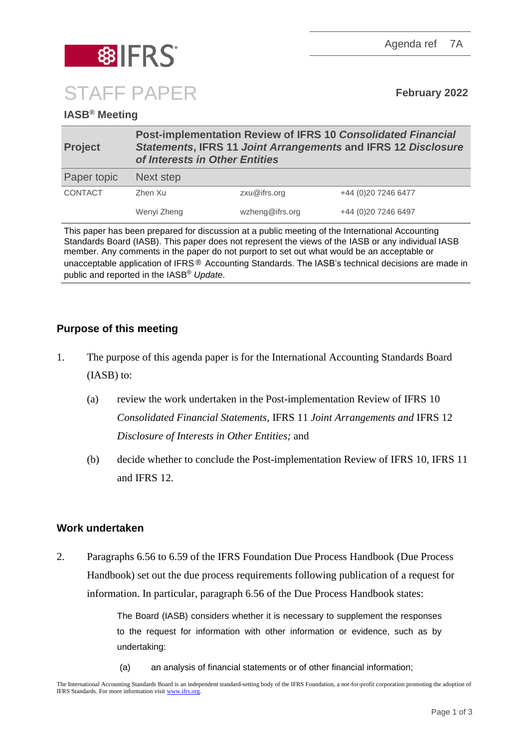Agenda ref 7A



# **IASB® Meeting**

| <b>Project</b> | Post-implementation Review of IFRS 10 Consolidated Financial<br><b>Statements, IFRS 11 Joint Arrangements and IFRS 12 Disclosure</b><br>of Interests in Other Entities |                 |                     |
|----------------|------------------------------------------------------------------------------------------------------------------------------------------------------------------------|-----------------|---------------------|
| Paper topic    | Next step                                                                                                                                                              |                 |                     |
| CONTACT        | Zhen Xu                                                                                                                                                                | zxu@ifrs.org    | +44 (0)20 7246 6477 |
|                | Wenyi Zheng                                                                                                                                                            | wzheng@ifrs.org | +44 (0)20 7246 6497 |

This paper has been prepared for discussion at a public meeting of the International Accounting Standards Board (IASB). This paper does not represent the views of the IASB or any individual IASB member. Any comments in the paper do not purport to set out what would be an acceptable or unacceptable application of IFRS® Accounting Standards. The IASB's technical decisions are made in public and reported in the IASB® *Update*.

#### **Purpose of this meeting**

- 1. The purpose of this agenda paper is for the International Accounting Standards Board (IASB) to:
	- (a) review the work undertaken in the Post-implementation Review of IFRS 10 *Consolidated Financial Statements,* IFRS 11 *Joint Arrangements and* IFRS 12 *Disclosure of Interests in Other Entities;* and
	- (b) decide whether to conclude the Post-implementation Review of IFRS 10, IFRS 11 and IFRS 12.

#### **Work undertaken**

2. Paragraphs 6.56 to 6.59 of the IFRS Foundation Due Process Handbook (Due Process Handbook) set out the due process requirements following publication of a request for information. In particular, paragraph 6.56 of the Due Process Handbook states:

> The Board (IASB) considers whether it is necessary to supplement the responses to the request for information with other information or evidence, such as by undertaking:

(a) an analysis of financial statements or of other financial information;

The International Accounting Standards Board is an independent standard-setting body of the IFRS Foundation, a not-for-profit corporation promoting the adoption of IFRS Standards. For more information visi[t www.ifrs.org.](http://www.ifrs.org/)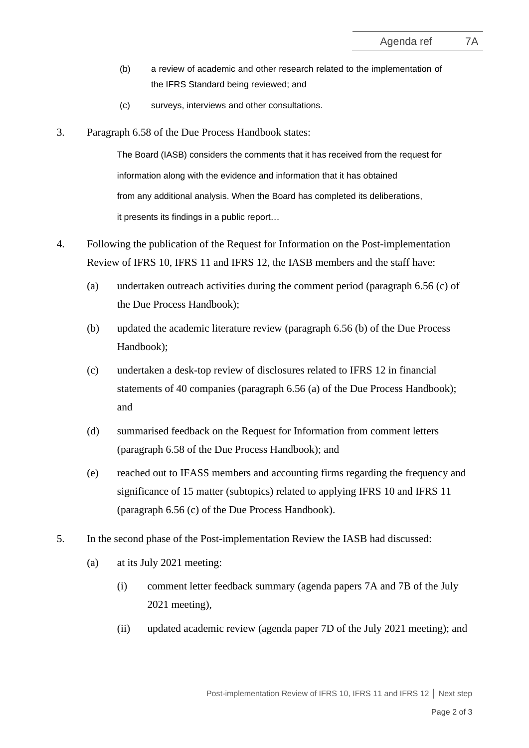- (b) a review of academic and other research related to the implementation of the IFRS Standard being reviewed; and
- (c) surveys, interviews and other consultations.
- 3. Paragraph 6.58 of the Due Process Handbook states:

The Board (IASB) considers the comments that it has received from the request for information along with the evidence and information that it has obtained from any additional analysis. When the Board has completed its deliberations, it presents its findings in a public report…

- 4. Following the publication of the Request for Information on the Post-implementation Review of IFRS 10, IFRS 11 and IFRS 12, the IASB members and the staff have:
	- (a) undertaken outreach activities during the comment period (paragraph 6.56 (c) of the Due Process Handbook);
	- (b) updated the academic literature review (paragraph 6.56 (b) of the Due Process Handbook);
	- (c) undertaken a desk-top review of disclosures related to IFRS 12 in financial statements of 40 companies (paragraph 6.56 (a) of the Due Process Handbook); and
	- (d) summarised feedback on the Request for Information from comment letters (paragraph 6.58 of the Due Process Handbook); and
	- (e) reached out to IFASS members and accounting firms regarding the frequency and significance of 15 matter (subtopics) related to applying IFRS 10 and IFRS 11 (paragraph 6.56 (c) of the Due Process Handbook).
- 5. In the second phase of the Post-implementation Review the IASB had discussed:
	- (a) at its July 2021 meeting:
		- (i) comment letter feedback summary (agenda papers 7A and 7B of the July 2021 meeting),
		- (ii) updated academic review (agenda paper 7D of the July 2021 meeting); and